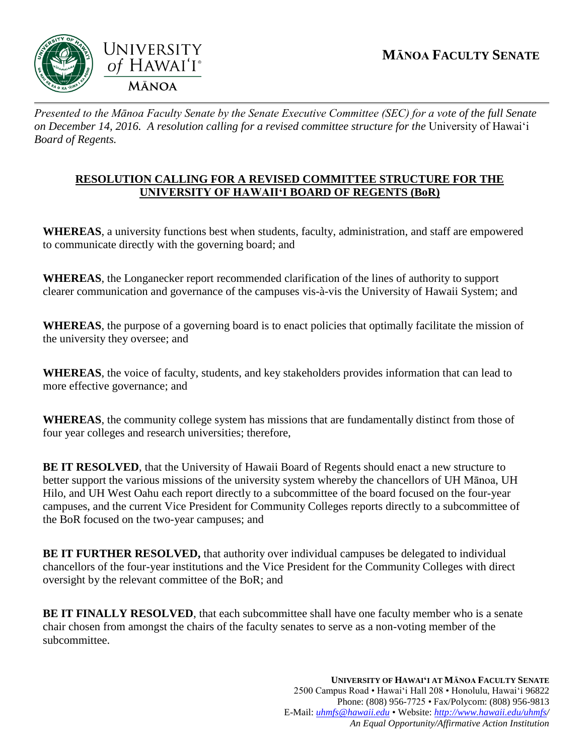

*Presented to the Mānoa Faculty Senate by the Senate Executive Committee (SEC) for a vote of the full Senate on December 14, 2016. A resolution calling for a revised committee structure for the University of Hawai'i Board of Regents.* 

## **RESOLUTION CALLING FOR A REVISED COMMITTEE STRUCTURE FOR THE UNIVERSITY OF HAWAII'I BOARD OF REGENTS (BoR)**

**WHEREAS**, a university functions best when students, faculty, administration, and staff are empowered to communicate directly with the governing board; and

**WHEREAS**, the Longanecker report recommended clarification of the lines of authority to support clearer communication and governance of the campuses vis-à-vis the University of Hawaii System; and

**WHEREAS**, the purpose of a governing board is to enact policies that optimally facilitate the mission of the university they oversee; and

**WHEREAS**, the voice of faculty, students, and key stakeholders provides information that can lead to more effective governance; and

**WHEREAS**, the community college system has missions that are fundamentally distinct from those of four year colleges and research universities; therefore,

**BE IT RESOLVED**, that the University of Hawaii Board of Regents should enact a new structure to better support the various missions of the university system whereby the chancellors of UH Mānoa, UH Hilo, and UH West Oahu each report directly to a subcommittee of the board focused on the four-year campuses, and the current Vice President for Community Colleges reports directly to a subcommittee of the BoR focused on the two-year campuses; and

**BE IT FURTHER RESOLVED,** that authority over individual campuses be delegated to individual chancellors of the four-year institutions and the Vice President for the Community Colleges with direct oversight by the relevant committee of the BoR; and

**BE IT FINALLY RESOLVED**, that each subcommittee shall have one faculty member who is a senate chair chosen from amongst the chairs of the faculty senates to serve as a non-voting member of the subcommittee.